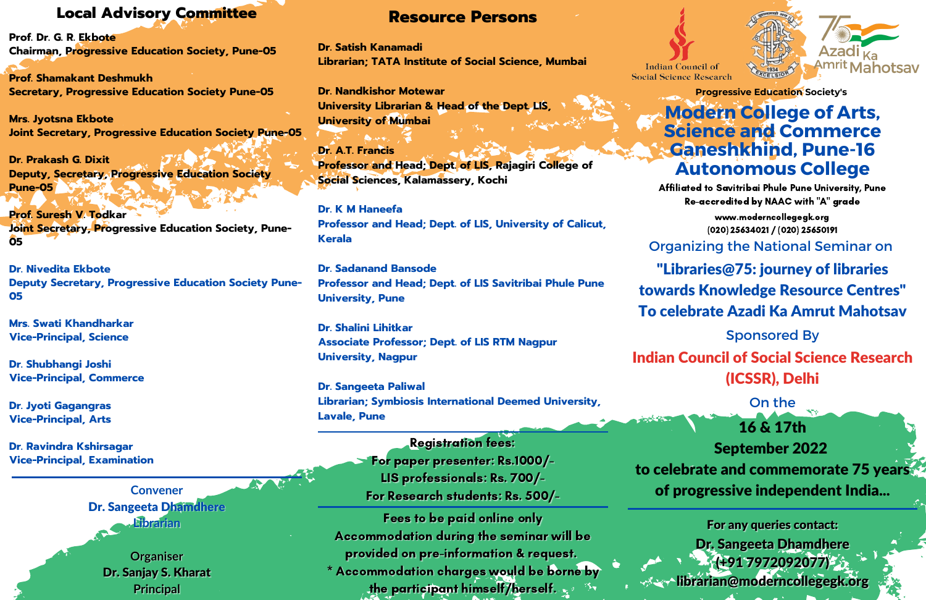#### **Resource Persons**

**Dr. Satish Kanamadi Librarian; TATA Institute of Social Science, Mumbai**

**Dr. Nandkishor Motewar University Librarian & Head of the Dept. LIS, University of Mumbai**

**Dr. A.T. Francis Professor and Head; Dept. of LIS, Rajagiri College of Social Sciences, Kalamassery, Kochi**

**Dr. K M Haneefa Professor and Head; Dept. of LIS, University of Calicut, Kerala**

**Dr. Sadanand Bansode Professor and Head; Dept. of LIS Savitribai Phule Pune University, Pune**

**Dr. Shalini Lihitkar Associate Professor; Dept. of LIS RTM Nagpur University, Nagpur**

**Dr. Sangeeta Paliwal Librarian; Symbiosis International Deemed University, Lavale, Pune**

#### **Registration fees:**

For paper presenter: Rs.1000/-LIS professionals: Rs. 700/-For Research students: Rs. 500/-

Fees to be paid online only Accommodation during the seminar will be provided on pre-information & request. \* Accommodation charges would be borne by the participant himself/herself.





# **Modern College of Arts, Science and Commerce Ganeshkhind, Pune-16 Autonomous College**

Affiliated to Savitribai Phule Pune University, Pune Re-accredited by NAAC with "A" grade

Indian Council of Social Science Research (ICSSR), Delhi

"Libraries@75: journey of libraries

towards Knowledge Resource Centres"

To celebrate Azadi Ka Amrut Mahotsav

**Progressive Education Society's**

www.moderncollegegk.org (020) 25634021 / (020) 25650191

Organizing the National Seminar on

Sponsored By

On the 16 & 17th September 2022 to celebrate and commemorate 75 years of progressive independent India...

For any queries contact: Dr. Sangeeta Dhamdhere  $(1917972092077)$  $\sim$ librarian@moderncollegegk.org

### **Local Advisory Committee**

**Prof. Dr. G. R. Ekbote Chairman, Progressive Education Society, Pune-05**

**Prof. Shamakant Deshmukh Secretary, Progressive Education Society Pune-05**

**Mrs. Jyotsna Ekbote Joint Secretary, Progressive Education Society Pune-05**

**Dr. Prakash G. Dixit Deputy, Secretary, Progressive Education Society Pune-05**

**Prof. Suresh V. Todkar Joint Secretary, Progressive Education Society, Pune-05**

**Dr. Nivedita Ekbote Deputy Secretary, Progressive Education Society Pune-05**

**Mrs. Swati Khandharkar Vice-Principal, Science**

**Dr. Shubhangi Joshi Vice-Principal, Commerce**

**Dr. Jyoti Gagangras Vice-Principal, Arts**

**Dr. Ravindra Kshirsagar Vice-Principal, Examination**



**Organiser** Dr. Sanjay S. Kharat **Principal**